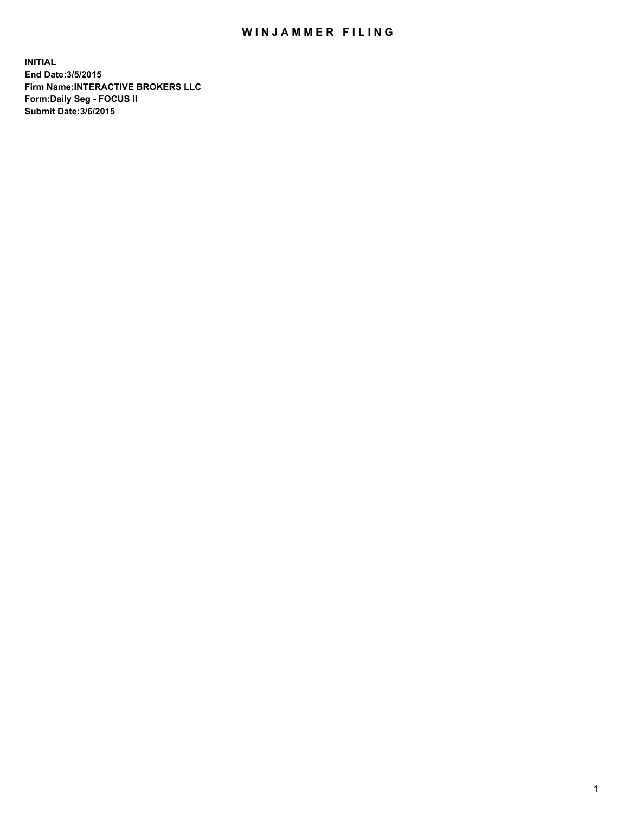## WIN JAMMER FILING

**INITIAL End Date:3/5/2015 Firm Name:INTERACTIVE BROKERS LLC Form:Daily Seg - FOCUS II Submit Date:3/6/2015**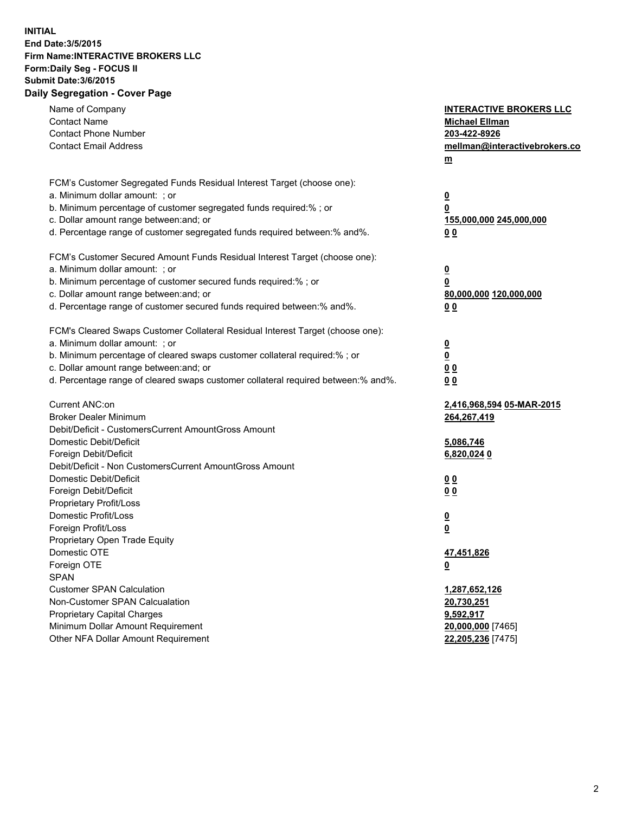## **INITIAL End Date:3/5/2015 Firm Name:INTERACTIVE BROKERS LLC Form:Daily Seg - FOCUS II Submit Date:3/6/2015 Daily Segregation - Cover Page**

| Name of Company                                                                   | <b>INTERACTIVE BROKERS LLC</b> |
|-----------------------------------------------------------------------------------|--------------------------------|
| <b>Contact Name</b>                                                               | <b>Michael Ellman</b>          |
| <b>Contact Phone Number</b>                                                       | 203-422-8926                   |
| <b>Contact Email Address</b>                                                      | mellman@interactivebrokers.co  |
|                                                                                   | $\underline{\mathbf{m}}$       |
|                                                                                   |                                |
| FCM's Customer Segregated Funds Residual Interest Target (choose one):            |                                |
| a. Minimum dollar amount: ; or                                                    | $\overline{\mathbf{0}}$        |
| b. Minimum percentage of customer segregated funds required:% ; or                | 0                              |
| c. Dollar amount range between: and; or                                           | 155,000,000 245,000,000        |
| d. Percentage range of customer segregated funds required between:% and%.         | 00                             |
| FCM's Customer Secured Amount Funds Residual Interest Target (choose one):        |                                |
| a. Minimum dollar amount: ; or                                                    | $\overline{\mathbf{0}}$        |
| b. Minimum percentage of customer secured funds required:% ; or                   | 0                              |
| c. Dollar amount range between: and; or                                           | 80,000,000 120,000,000         |
| d. Percentage range of customer secured funds required between:% and%.            | 00                             |
|                                                                                   |                                |
| FCM's Cleared Swaps Customer Collateral Residual Interest Target (choose one):    |                                |
| a. Minimum dollar amount: ; or                                                    | $\overline{\mathbf{0}}$        |
| b. Minimum percentage of cleared swaps customer collateral required:% ; or        | $\overline{\mathbf{0}}$        |
| c. Dollar amount range between: and; or                                           | 0 <sub>0</sub>                 |
| d. Percentage range of cleared swaps customer collateral required between:% and%. | 0 <sub>0</sub>                 |
|                                                                                   |                                |
| Current ANC:on                                                                    | 2,416,968,594 05-MAR-2015      |
| <b>Broker Dealer Minimum</b>                                                      | 264,267,419                    |
| Debit/Deficit - CustomersCurrent AmountGross Amount                               |                                |
| Domestic Debit/Deficit                                                            | 5,086,746                      |
| Foreign Debit/Deficit                                                             | 6,820,024 0                    |
| Debit/Deficit - Non CustomersCurrent AmountGross Amount                           |                                |
| Domestic Debit/Deficit                                                            | 0 <sub>0</sub>                 |
| Foreign Debit/Deficit                                                             | 0 <sub>0</sub>                 |
| Proprietary Profit/Loss                                                           |                                |
| Domestic Profit/Loss                                                              | $\overline{\mathbf{0}}$        |
| Foreign Profit/Loss                                                               | $\underline{\mathbf{0}}$       |
| Proprietary Open Trade Equity                                                     |                                |
| Domestic OTE                                                                      | 47,451,826                     |
| Foreign OTE                                                                       | <u>0</u>                       |
| <b>SPAN</b>                                                                       |                                |
| <b>Customer SPAN Calculation</b>                                                  | 1,287,652,126                  |
| Non-Customer SPAN Calcualation                                                    | 20,730,251                     |
| Proprietary Capital Charges                                                       | 9,592,917                      |
| Minimum Dollar Amount Requirement                                                 | 20,000,000 [7465]              |
| Other NFA Dollar Amount Requirement                                               | 22,205,236 [7475]              |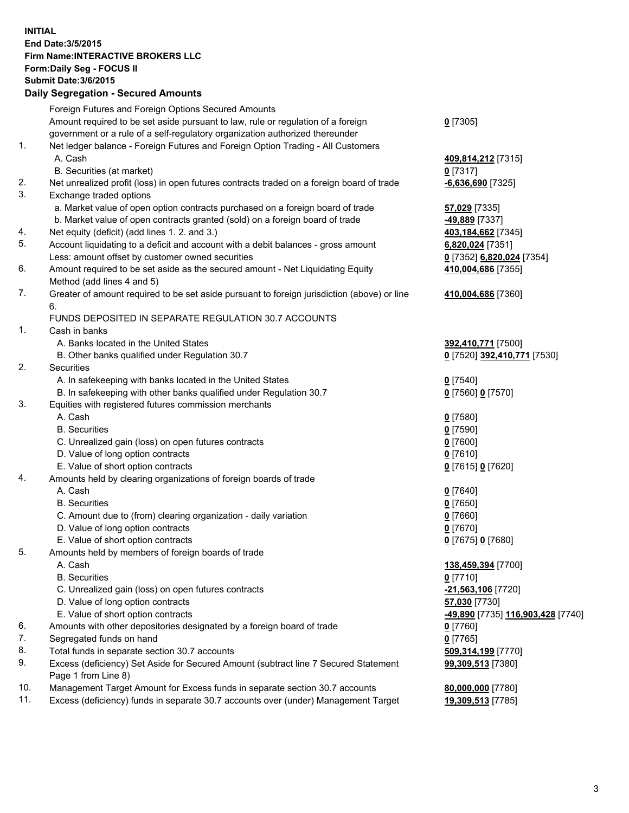## **INITIAL End Date:3/5/2015 Firm Name:INTERACTIVE BROKERS LLC Form:Daily Seg - FOCUS II Submit Date:3/6/2015 Daily Segregation - Secured Amounts**

|     | Foreign Futures and Foreign Options Secured Amounts                                                        |                                                |
|-----|------------------------------------------------------------------------------------------------------------|------------------------------------------------|
|     | Amount required to be set aside pursuant to law, rule or regulation of a foreign                           | $0$ [7305]                                     |
|     | government or a rule of a self-regulatory organization authorized thereunder                               |                                                |
| 1.  | Net ledger balance - Foreign Futures and Foreign Option Trading - All Customers                            |                                                |
|     | A. Cash                                                                                                    | 409,814,212 [7315]                             |
|     | B. Securities (at market)                                                                                  | $0$ [7317]                                     |
| 2.  | Net unrealized profit (loss) in open futures contracts traded on a foreign board of trade                  | <b>6,636,690</b> [7325]                        |
| 3.  | Exchange traded options                                                                                    |                                                |
|     | a. Market value of open option contracts purchased on a foreign board of trade                             | 57,029 [7335]                                  |
|     | b. Market value of open contracts granted (sold) on a foreign board of trade                               | <u>-49,889</u> [7337]                          |
| 4.  | Net equity (deficit) (add lines 1.2. and 3.)                                                               | 403,184,662 [7345]                             |
| 5.  | Account liquidating to a deficit and account with a debit balances - gross amount                          | 6,820,024 [7351]                               |
|     | Less: amount offset by customer owned securities                                                           | 0 [7352] 6,820,024 [7354]                      |
| 6.  | Amount required to be set aside as the secured amount - Net Liquidating Equity                             | 410,004,686 [7355]                             |
|     | Method (add lines 4 and 5)                                                                                 |                                                |
| 7.  | Greater of amount required to be set aside pursuant to foreign jurisdiction (above) or line                | 410,004,686 [7360]                             |
|     | 6.                                                                                                         |                                                |
|     | FUNDS DEPOSITED IN SEPARATE REGULATION 30.7 ACCOUNTS                                                       |                                                |
| 1.  | Cash in banks                                                                                              |                                                |
|     | A. Banks located in the United States                                                                      | 392,410,771 [7500]                             |
|     | B. Other banks qualified under Regulation 30.7                                                             | 0 [7520] 392,410,771 [7530]                    |
| 2.  | Securities                                                                                                 |                                                |
|     | A. In safekeeping with banks located in the United States                                                  | $Q$ [7540]                                     |
|     | B. In safekeeping with other banks qualified under Regulation 30.7                                         | 0 [7560] 0 [7570]                              |
| 3.  | Equities with registered futures commission merchants                                                      |                                                |
|     | A. Cash                                                                                                    | $0$ [7580]                                     |
|     | <b>B.</b> Securities                                                                                       | $0$ [7590]                                     |
|     | C. Unrealized gain (loss) on open futures contracts                                                        | $0$ [7600]                                     |
|     | D. Value of long option contracts                                                                          | $0$ [7610]                                     |
|     | E. Value of short option contracts                                                                         | 0 [7615] 0 [7620]                              |
| 4.  | Amounts held by clearing organizations of foreign boards of trade                                          |                                                |
|     | A. Cash                                                                                                    | $0$ [7640]                                     |
|     | <b>B.</b> Securities                                                                                       | $0$ [7650]                                     |
|     | C. Amount due to (from) clearing organization - daily variation                                            |                                                |
|     | D. Value of long option contracts                                                                          | $0$ [7660]                                     |
|     |                                                                                                            | $0$ [7670]                                     |
| 5.  | E. Value of short option contracts                                                                         | 0 [7675] 0 [7680]                              |
|     | Amounts held by members of foreign boards of trade                                                         |                                                |
|     | A. Cash                                                                                                    | 138,459,394 [7700]                             |
|     | <b>B.</b> Securities                                                                                       | $0$ [7710]                                     |
|     | C. Unrealized gain (loss) on open futures contracts                                                        | -21,563,106 [7720]                             |
|     | D. Value of long option contracts                                                                          | 57,030 [7730]                                  |
|     | E. Value of short option contracts                                                                         | <mark>-49,890</mark> [7735] 116,903,428 [7740] |
| 6.  | Amounts with other depositories designated by a foreign board of trade                                     | $0$ [7760]                                     |
| 7.  | Segregated funds on hand                                                                                   | $0$ [7765]                                     |
| 8.  | Total funds in separate section 30.7 accounts                                                              | 509,314,199 [7770]                             |
| 9.  | Excess (deficiency) Set Aside for Secured Amount (subtract line 7 Secured Statement<br>Page 1 from Line 8) | 99,309,513 [7380]                              |
| 10. | Management Target Amount for Excess funds in separate section 30.7 accounts                                | 80,000,000 [7780]                              |
| 11. | Excess (deficiency) funds in separate 30.7 accounts over (under) Management Target                         | 19,309,513 [7785]                              |
|     |                                                                                                            |                                                |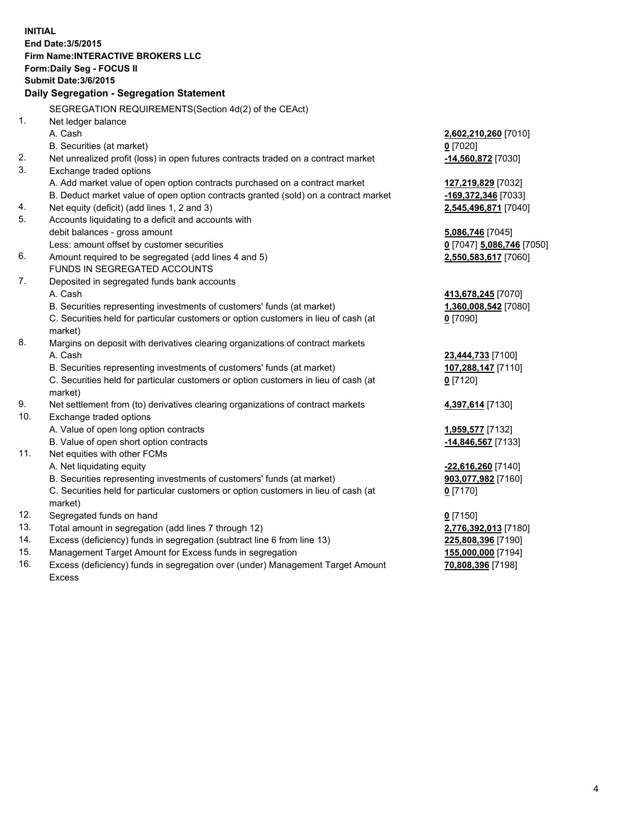**INITIAL End Date:3/5/2015 Firm Name:INTERACTIVE BROKERS LLC Form:Daily Seg - FOCUS II Submit Date:3/6/2015 Daily Segregation - Segregation Statement** SEGREGATION REQUIREMENTS(Section 4d(2) of the CEAct) 1. Net ledger balance A. Cash **2,602,210,260** [7010] B. Securities (at market) **0** [7020] 2. Net unrealized profit (loss) in open futures contracts traded on a contract market **-14,560,872** [7030] 3. Exchange traded options A. Add market value of open option contracts purchased on a contract market **127,219,829** [7032] B. Deduct market value of open option contracts granted (sold) on a contract market **-169,372,346** [7033] 4. Net equity (deficit) (add lines 1, 2 and 3) **2,545,496,871** [7040] 5. Accounts liquidating to a deficit and accounts with debit balances - gross amount **5,086,746** [7045] Less: amount offset by customer securities **0** [7047] **5,086,746** [7050] 6. Amount required to be segregated (add lines 4 and 5) **2,550,583,617** [7060] FUNDS IN SEGREGATED ACCOUNTS 7. Deposited in segregated funds bank accounts A. Cash **413,678,245** [7070] B. Securities representing investments of customers' funds (at market) **1,360,008,542** [7080] C. Securities held for particular customers or option customers in lieu of cash (at market) **0** [7090] 8. Margins on deposit with derivatives clearing organizations of contract markets A. Cash **23,444,733** [7100] B. Securities representing investments of customers' funds (at market) **107,288,147** [7110] C. Securities held for particular customers or option customers in lieu of cash (at market) **0** [7120] 9. Net settlement from (to) derivatives clearing organizations of contract markets **4,397,614** [7130] 10. Exchange traded options A. Value of open long option contracts **1,959,577** [7132] B. Value of open short option contracts **-14,846,567** [7133] 11. Net equities with other FCMs A. Net liquidating equity **-22,616,260** [7140] B. Securities representing investments of customers' funds (at market) **903,077,982** [7160] C. Securities held for particular customers or option customers in lieu of cash (at market) **0** [7170] 12. Segregated funds on hand **0** [7150] 13. Total amount in segregation (add lines 7 through 12) **2,776,392,013** [7180] 14. Excess (deficiency) funds in segregation (subtract line 6 from line 13) **225,808,396** [7190] 15. Management Target Amount for Excess funds in segregation **155,000,000** [7194]

16. Excess (deficiency) funds in segregation over (under) Management Target Amount Excess

**70,808,396** [7198]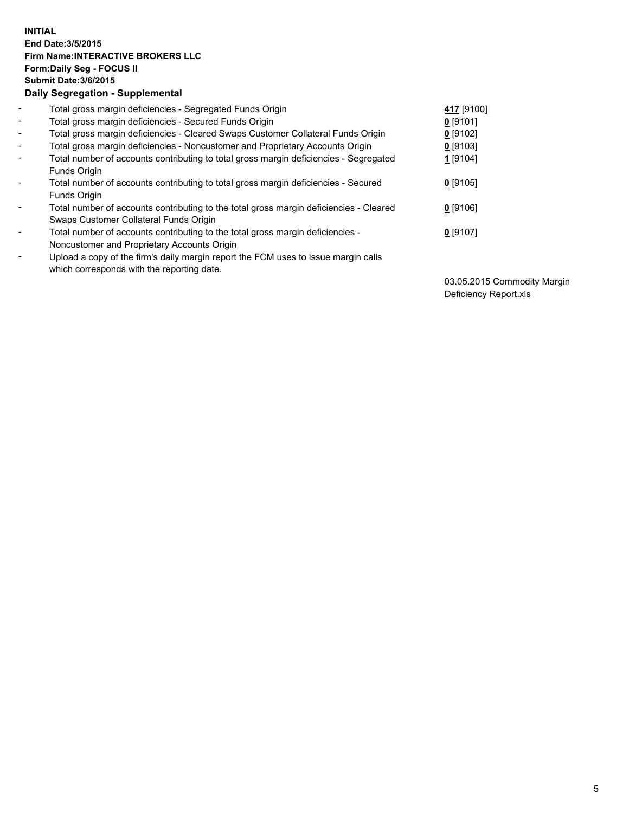## **INITIAL End Date:3/5/2015 Firm Name:INTERACTIVE BROKERS LLC Form:Daily Seg - FOCUS II Submit Date:3/6/2015 Daily Segregation - Supplemental**

| $\overline{\phantom{a}}$ | Total gross margin deficiencies - Segregated Funds Origin                              | 417 [9100] |
|--------------------------|----------------------------------------------------------------------------------------|------------|
| $\blacksquare$           | Total gross margin deficiencies - Secured Funds Origin                                 | $0$ [9101] |
| $\blacksquare$           | Total gross margin deficiencies - Cleared Swaps Customer Collateral Funds Origin       | 0 [9102]   |
| $\blacksquare$           | Total gross margin deficiencies - Noncustomer and Proprietary Accounts Origin          | 0 [9103]   |
| $\blacksquare$           | Total number of accounts contributing to total gross margin deficiencies - Segregated  | 1 [9104]   |
|                          | <b>Funds Origin</b>                                                                    |            |
| Ξ.                       | Total number of accounts contributing to total gross margin deficiencies - Secured     | $0$ [9105] |
|                          | <b>Funds Origin</b>                                                                    |            |
| ۰                        | Total number of accounts contributing to the total gross margin deficiencies - Cleared | $0$ [9106] |
|                          | Swaps Customer Collateral Funds Origin                                                 |            |
| -                        | Total number of accounts contributing to the total gross margin deficiencies -         | $0$ [9107] |
|                          | Noncustomer and Proprietary Accounts Origin                                            |            |
| ۰                        | Upload a copy of the firm's daily margin report the FCM uses to issue margin calls     |            |
|                          | which corresponds with the reporting date.                                             |            |

03.05.2015 Commodity Margin Deficiency Report.xls